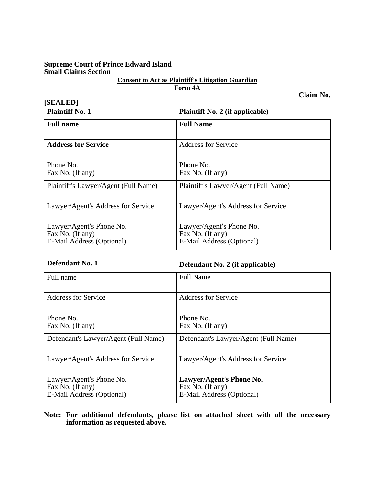## **Supreme Court of Prince Edward Island Small Claims Section**

# **Consent to Act as Plaintiff's Litigation Guardian**

**Form 4A** 

**[SEALED]** 

**Plaintiff No. 1 Plaintiff No. 2 (if applicable)** 

**Claim No.** 

| <b>Full name</b>                                                          | <b>Full Name</b>                                                          |
|---------------------------------------------------------------------------|---------------------------------------------------------------------------|
| <b>Address for Service</b>                                                | Address for Service                                                       |
| Phone No.<br>Fax No. (If any)                                             | Phone No.<br>Fax No. (If any)                                             |
| Plaintiff's Lawyer/Agent (Full Name)                                      | Plaintiff's Lawyer/Agent (Full Name)                                      |
| Lawyer/Agent's Address for Service                                        | Lawyer/Agent's Address for Service                                        |
| Lawyer/Agent's Phone No.<br>Fax No. (If any)<br>E-Mail Address (Optional) | Lawyer/Agent's Phone No.<br>Fax No. (If any)<br>E-Mail Address (Optional) |

**Defendant No. 1 Defendant No. 2 (if applicable)**

| Full name                                                                 | <b>Full Name</b>                                                          |
|---------------------------------------------------------------------------|---------------------------------------------------------------------------|
| <b>Address for Service</b>                                                | Address for Service                                                       |
| Phone No.<br>Fax No. (If any)                                             | Phone No.<br>Fax No. (If any)                                             |
| Defendant's Lawyer/Agent (Full Name)                                      | Defendant's Lawyer/Agent (Full Name)                                      |
| Lawyer/Agent's Address for Service                                        | Lawyer/Agent's Address for Service                                        |
| Lawyer/Agent's Phone No.<br>Fax No. (If any)<br>E-Mail Address (Optional) | Lawyer/Agent's Phone No.<br>Fax No. (If any)<br>E-Mail Address (Optional) |

**Note: For additional defendants, please list on attached sheet with all the necessary information as requested above.**